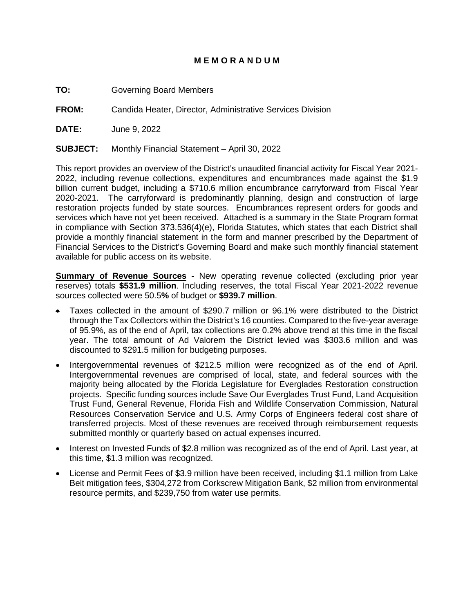## **M E M O R A N D U M**

**TO:** Governing Board Members

**FROM:** Candida Heater, Director, Administrative Services Division

**DATE:** June 9, 2022

**SUBJECT:** Monthly Financial Statement – April 30, 2022

This report provides an overview of the District's unaudited financial activity for Fiscal Year 2021- 2022, including revenue collections, expenditures and encumbrances made against the \$1.9 billion current budget, including a \$710.6 million encumbrance carryforward from Fiscal Year 2020-2021. The carryforward is predominantly planning, design and construction of large restoration projects funded by state sources. Encumbrances represent orders for goods and services which have not yet been received. Attached is a summary in the State Program format in compliance with Section 373.536(4)(e), Florida Statutes, which states that each District shall provide a monthly financial statement in the form and manner prescribed by the Department of Financial Services to the District's Governing Board and make such monthly financial statement available for public access on its website.

**Summary of Revenue Sources** - New operating revenue collected (excluding prior year reserves) totals **\$531.9 million**. Including reserves, the total Fiscal Year 2021-2022 revenue sources collected were 50.5**%** of budget or **\$939.7 million**.

- Taxes collected in the amount of \$290.7 million or 96.1% were distributed to the District through the Tax Collectors within the District's 16 counties. Compared to the five-year average of 95.9%, as of the end of April, tax collections are 0.2% above trend at this time in the fiscal year. The total amount of Ad Valorem the District levied was \$303.6 million and was discounted to \$291.5 million for budgeting purposes.
- Intergovernmental revenues of \$212.5 million were recognized as of the end of April. Intergovernmental revenues are comprised of local, state, and federal sources with the majority being allocated by the Florida Legislature for Everglades Restoration construction projects. Specific funding sources include Save Our Everglades Trust Fund, Land Acquisition Trust Fund, General Revenue, Florida Fish and Wildlife Conservation Commission, Natural Resources Conservation Service and U.S. Army Corps of Engineers federal cost share of transferred projects. Most of these revenues are received through reimbursement requests submitted monthly or quarterly based on actual expenses incurred.
- Interest on Invested Funds of \$2.8 million was recognized as of the end of April. Last year, at this time, \$1.3 million was recognized.
- License and Permit Fees of \$3.9 million have been received, including \$1.1 million from Lake Belt mitigation fees, \$304,272 from Corkscrew Mitigation Bank, \$2 million from environmental resource permits, and \$239,750 from water use permits.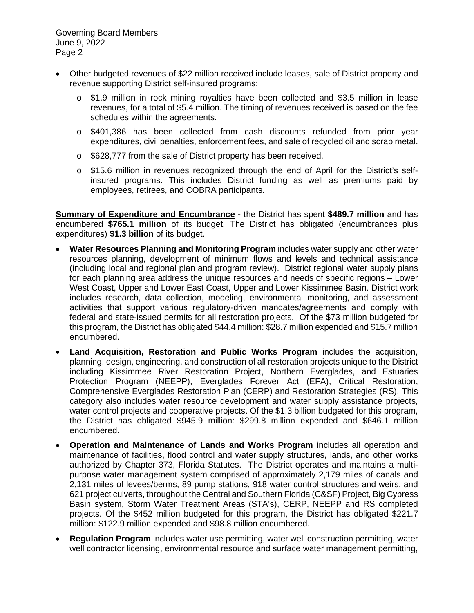- Other budgeted revenues of \$22 million received include leases, sale of District property and revenue supporting District self-insured programs:
	- o \$1.9 million in rock mining royalties have been collected and \$3.5 million in lease revenues, for a total of \$5.4 million. The timing of revenues received is based on the fee schedules within the agreements.
	- o \$401,386 has been collected from cash discounts refunded from prior year expenditures, civil penalties, enforcement fees, and sale of recycled oil and scrap metal.
	- o \$628,777 from the sale of District property has been received.
	- o \$15.6 million in revenues recognized through the end of April for the District's selfinsured programs. This includes District funding as well as premiums paid by employees, retirees, and COBRA participants.

**Summary of Expenditure and Encumbrance -** the District has spent **\$489.7 million** and has encumbered **\$765.1 million** of its budget. The District has obligated (encumbrances plus expenditures) **\$1.3 billion** of its budget.

- **Water Resources Planning and Monitoring Program** includes water supply and other water resources planning, development of minimum flows and levels and technical assistance (including local and regional plan and program review). District regional water supply plans for each planning area address the unique resources and needs of specific regions – Lower West Coast, Upper and Lower East Coast, Upper and Lower Kissimmee Basin. District work includes research, data collection, modeling, environmental monitoring, and assessment activities that support various regulatory-driven mandates/agreements and comply with federal and state-issued permits for all restoration projects. Of the \$73 million budgeted for this program, the District has obligated \$44.4 million: \$28.7 million expended and \$15.7 million encumbered.
- **Land Acquisition, Restoration and Public Works Program** includes the acquisition, planning, design, engineering, and construction of all restoration projects unique to the District including Kissimmee River Restoration Project, Northern Everglades, and Estuaries Protection Program (NEEPP), Everglades Forever Act (EFA), Critical Restoration, Comprehensive Everglades Restoration Plan (CERP) and Restoration Strategies (RS). This category also includes water resource development and water supply assistance projects, water control projects and cooperative projects. Of the \$1.3 billion budgeted for this program, the District has obligated \$945.9 million: \$299.8 million expended and \$646.1 million encumbered.
- **Operation and Maintenance of Lands and Works Program** includes all operation and maintenance of facilities, flood control and water supply structures, lands, and other works authorized by Chapter 373, Florida Statutes. The District operates and maintains a multipurpose water management system comprised of approximately 2,179 miles of canals and 2,131 miles of levees/berms, 89 pump stations, 918 water control structures and weirs, and 621 project culverts, throughout the Central and Southern Florida (C&SF) Project, Big Cypress Basin system, Storm Water Treatment Areas (STA's), CERP, NEEPP and RS completed projects. Of the \$452 million budgeted for this program, the District has obligated \$221.7 million: \$122.9 million expended and \$98.8 million encumbered.
- **Regulation Program** includes water use permitting, water well construction permitting, water well contractor licensing, environmental resource and surface water management permitting,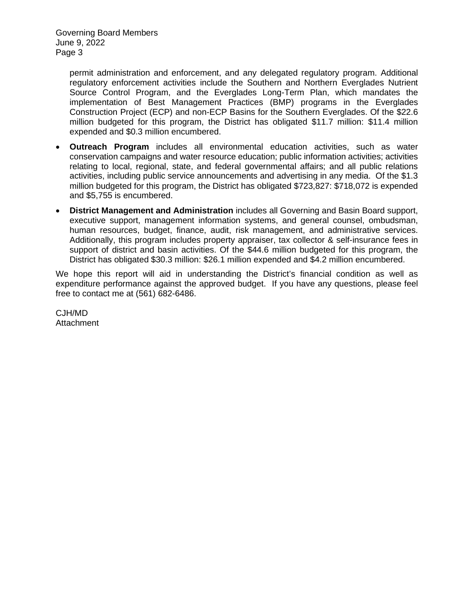permit administration and enforcement, and any delegated regulatory program. Additional regulatory enforcement activities include the Southern and Northern Everglades Nutrient Source Control Program, and the Everglades Long-Term Plan, which mandates the implementation of Best Management Practices (BMP) programs in the Everglades Construction Project (ECP) and non-ECP Basins for the Southern Everglades. Of the \$22.6 million budgeted for this program, the District has obligated \$11.7 million: \$11.4 million expended and \$0.3 million encumbered.

- **Outreach Program** includes all environmental education activities, such as water conservation campaigns and water resource education; public information activities; activities relating to local, regional, state, and federal governmental affairs; and all public relations activities, including public service announcements and advertising in any media. Of the \$1.3 million budgeted for this program, the District has obligated \$723,827: \$718,072 is expended and \$5,755 is encumbered.
- **District Management and Administration** includes all Governing and Basin Board support, executive support, management information systems, and general counsel, ombudsman, human resources, budget, finance, audit, risk management, and administrative services. Additionally, this program includes property appraiser, tax collector & self-insurance fees in support of district and basin activities. Of the \$44.6 million budgeted for this program, the District has obligated \$30.3 million: \$26.1 million expended and \$4.2 million encumbered.

We hope this report will aid in understanding the District's financial condition as well as expenditure performance against the approved budget. If you have any questions, please feel free to contact me at (561) 682-6486.

CJH/MD Attachment